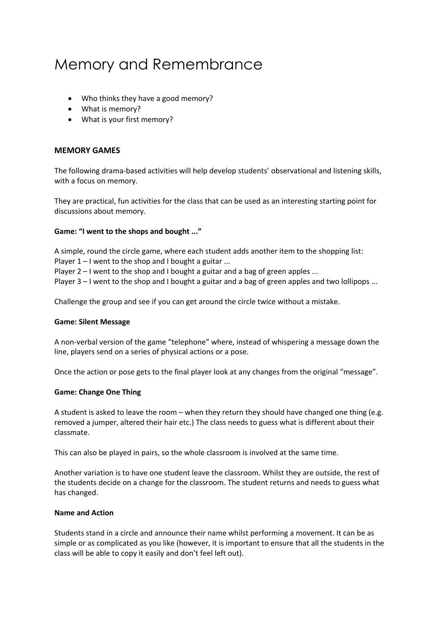# Memory and Remembrance

- Who thinks they have a good memory?
- What is memory?
- What is your first memory?

### **MEMORY GAMES**

The following drama-based activities will help develop students' observational and listening skills, with a focus on memory.

They are practical, fun activities for the class that can be used as an interesting starting point for discussions about memory.

#### **Game: "I went to the shops and bought ..."**

A simple, round the circle game, where each student adds another item to the shopping list:

Player  $1 - I$  went to the shop and I bought a guitar ...

Player 2 – I went to the shop and I bought a guitar and a bag of green apples ...

Player 3 – I went to the shop and I bought a guitar and a bag of green apples and two lollipops ...

Challenge the group and see if you can get around the circle twice without a mistake.

#### **Game: Silent Message**

A non-verbal version of the game "telephone" where, instead of whispering a message down the line, players send on a series of physical actions or a pose.

Once the action or pose gets to the final player look at any changes from the original "message".

#### **Game: Change One Thing**

A student is asked to leave the room – when they return they should have changed one thing (e.g. removed a jumper, altered their hair etc.) The class needs to guess what is different about their classmate.

This can also be played in pairs, so the whole classroom is involved at the same time.

Another variation is to have one student leave the classroom. Whilst they are outside, the rest of the students decide on a change for the classroom. The student returns and needs to guess what has changed.

#### **Name and Action**

Students stand in a circle and announce their name whilst performing a movement. It can be as simple or as complicated as you like (however, it is important to ensure that all the students in the class will be able to copy it easily and don't feel left out).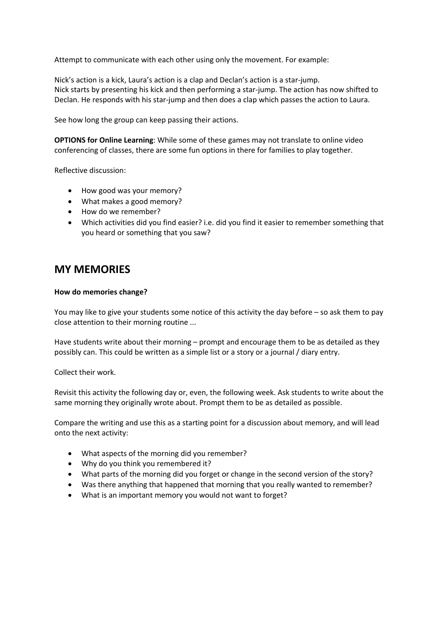Attempt to communicate with each other using only the movement. For example:

Nick's action is a kick, Laura's action is a clap and Declan's action is a star-jump. Nick starts by presenting his kick and then performing a star-jump. The action has now shifted to Declan. He responds with his star-jump and then does a clap which passes the action to Laura.

See how long the group can keep passing their actions.

**OPTIONS for Online Learning**: While some of these games may not translate to online video conferencing of classes, there are some fun options in there for families to play together.

Reflective discussion:

- How good was your memory?
- What makes a good memory?
- How do we remember?
- Which activities did you find easier? i.e. did you find it easier to remember something that you heard or something that you saw?

## **MY MEMORIES**

#### **How do memories change?**

You may like to give your students some notice of this activity the day before – so ask them to pay close attention to their morning routine ...

Have students write about their morning – prompt and encourage them to be as detailed as they possibly can. This could be written as a simple list or a story or a journal / diary entry.

Collect their work.

Revisit this activity the following day or, even, the following week. Ask students to write about the same morning they originally wrote about. Prompt them to be as detailed as possible.

Compare the writing and use this as a starting point for a discussion about memory, and will lead onto the next activity:

- What aspects of the morning did you remember?
- Why do you think you remembered it?
- What parts of the morning did you forget or change in the second version of the story?
- Was there anything that happened that morning that you really wanted to remember?
- What is an important memory you would not want to forget?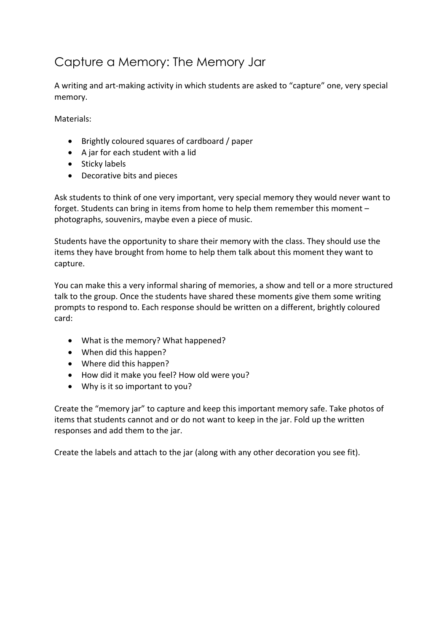# Capture a Memory: The Memory Jar

A writing and art-making activity in which students are asked to "capture" one, very special memory.

Materials:

- Brightly coloured squares of cardboard / paper
- A jar for each student with a lid
- Sticky labels
- Decorative bits and pieces

Ask students to think of one very important, very special memory they would never want to forget. Students can bring in items from home to help them remember this moment – photographs, souvenirs, maybe even a piece of music.

Students have the opportunity to share their memory with the class. They should use the items they have brought from home to help them talk about this moment they want to capture.

You can make this a very informal sharing of memories, a show and tell or a more structured talk to the group. Once the students have shared these moments give them some writing prompts to respond to. Each response should be written on a different, brightly coloured card:

- What is the memory? What happened?
- When did this happen?
- Where did this happen?
- How did it make you feel? How old were you?
- Why is it so important to you?

Create the "memory jar" to capture and keep this important memory safe. Take photos of items that students cannot and or do not want to keep in the jar. Fold up the written responses and add them to the jar.

Create the labels and attach to the jar (along with any other decoration you see fit).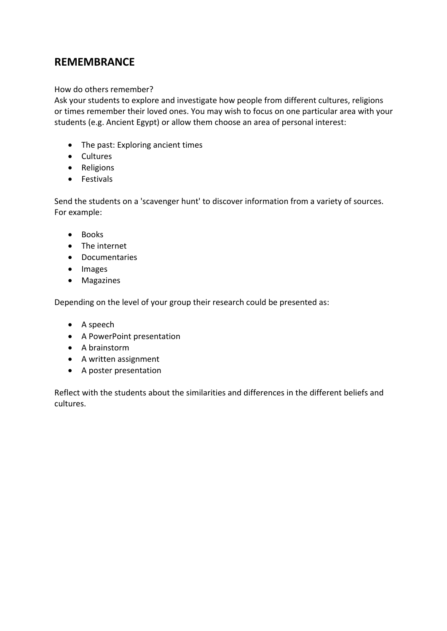# **REMEMBRANCE**

## How do others remember?

Ask your students to explore and investigate how people from different cultures, religions or times remember their loved ones. You may wish to focus on one particular area with your students (e.g. Ancient Egypt) or allow them choose an area of personal interest:

- The past: Exploring ancient times
- Cultures
- Religions
- Festivals

Send the students on a 'scavenger hunt' to discover information from a variety of sources. For example:

- Books
- The internet
- Documentaries
- Images
- Magazines

Depending on the level of your group their research could be presented as:

- A speech
- A PowerPoint presentation
- A brainstorm
- A written assignment
- A poster presentation

Reflect with the students about the similarities and differences in the different beliefs and cultures.